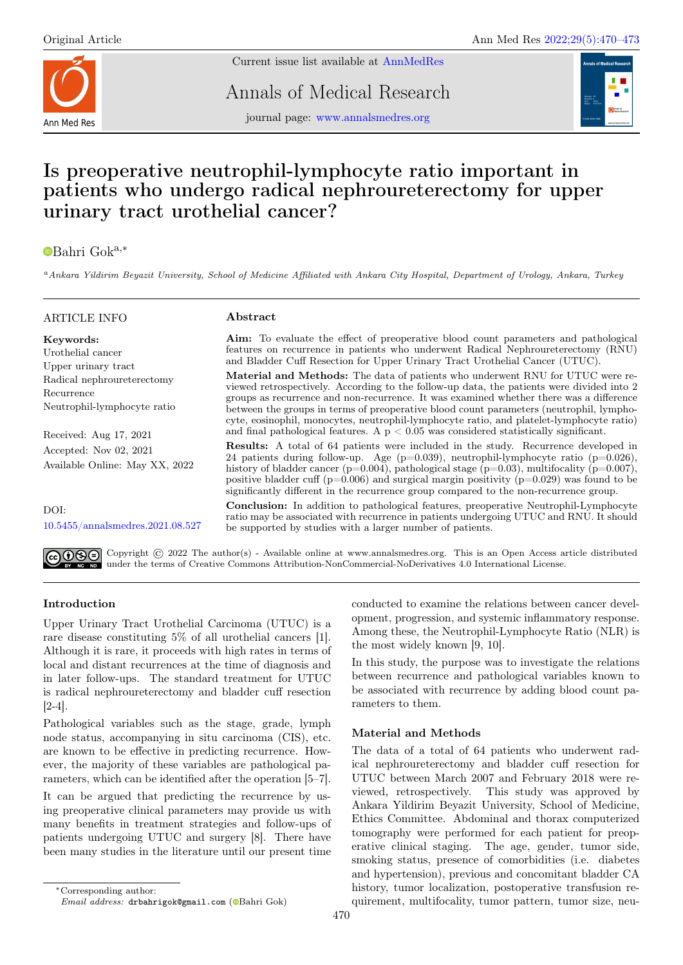

Current issue list available at [AnnMedRes](https://annalsmedres.org/index.php/aomr/issue/view/163)

Annals of Medical Research

journal page: [www.annalsmedres.org](https://www.annalsmedres.org)



# Is preoperative neutrophil-lymphocyte ratio important in patients who undergo radical nephroureterectomy for upper urinary tract urothelial cancer?

## [B](https://orcid.org/0000-0002-2295-234X)ahri Goka,<sup>∗</sup>

<sup>a</sup>Ankara Yildirim Beyazit University, School of Medicine Affiliated with Ankara City Hospital, Department of Urology, Ankara, Turkey

## ARTICLE INFO

## Abstract

Keywords: Urothelial cancer Upper urinary tract Radical nephroureterectomy Recurrence Neutrophil-lymphocyte ratio

Received: Aug 17, 2021 Accepted: Nov 02, 2021 Available Online: May XX, 2022

DOI: [10.5455/annalsmedres.2021.08.527](https://doi.org/10.5455/annalsmedres.2021.08.527)

Aim: To evaluate the effect of preoperative blood count parameters and pathological features on recurrence in patients who underwent Radical Nephroureterectomy (RNU) and Bladder Cuff Resection for Upper Urinary Tract Urothelial Cancer (UTUC).

Material and Methods: The data of patients who underwent RNU for UTUC were reviewed retrospectively. According to the follow-up data, the patients were divided into 2 groups as recurrence and non-recurrence. It was examined whether there was a difference between the groups in terms of preoperative blood count parameters (neutrophil, lymphocyte, eosinophil, monocytes, neutrophil-lymphocyte ratio, and platelet-lymphocyte ratio) and final pathological features. A  $\rm p < 0.05$  was considered statistically significant.

Results: A total of 64 patients were included in the study. Recurrence developed in 24 patients during follow-up. Age (p=0.039), neutrophil-lymphocyte ratio (p=0.026), history of bladder cancer (p=0.004), pathological stage (p=0.03), multifocality (p=0.007), positive bladder cuff ( $p=0.006$ ) and surgical margin positivity ( $p=0.029$ ) was found to be significantly different in the recurrence group compared to the non-recurrence group.

Conclusion: In addition to pathological features, preoperative Neutrophil-Lymphocyte ratio may be associated with recurrence in patients undergoing UTUC and RNU. It should be supported by studies with a larger number of patients.

Copyright © 2022 The author(s) - Available online at www.annalsmedres.org. This is an Open Access article distributed under the terms of Creative Commons Attribution-NonCommercial-NoDerivatives 4.0 International License.

## Introduction

Upper Urinary Tract Urothelial Carcinoma (UTUC) is a rare disease constituting 5% of all urothelial cancers [1]. Although it is rare, it proceeds with high rates in terms of local and distant recurrences at the time of diagnosis and in later follow-ups. The standard treatment for UTUC is radical nephroureterectomy and bladder cuff resection [2-4].

Pathological variables such as the stage, grade, lymph node status, accompanying in situ carcinoma (CIS), etc. are known to be effective in predicting recurrence. However, the majority of these variables are pathological parameters, which can be identified after the operation [5–7].

It can be argued that predicting the recurrence by using preoperative clinical parameters may provide us with many benefits in treatment strategies and follow-ups of patients undergoing UTUC and surgery [8]. There have been many studies in the literature until our present time

In this study, the purpose was to investigate the relations between recurrence and pathological variables known to be associated with recurrence by adding blood count parameters to them.

## Material and Methods

The data of a total of 64 patients who underwent radical nephroureterectomy and bladder cuff resection for UTUC between March 2007 and February 2018 were reviewed, retrospectively. This study was approved by Ankara Yildirim Beyazit University, School of Medicine, Ethics Committee. Abdominal and thorax computerized tomography were performed for each patient for preoperative clinical staging. The age, gender, tumor side, smoking status, presence of comorbidities (i.e. diabetes and hypertension), previous and concomitant bladder CA history, tumor localization, postoperative transfusion requirement, multifocality, tumor pattern, tumor size, neu-

conducted to examine the relations between cancer development, progression, and systemic inflammatory response. Among these, the Neutrophil-Lymphocyte Ratio (NLR) is the most widely known [9, 10].

<sup>∗</sup>Corresponding author:

Email address: drbahrigok@gmail.com [\(](https://orcid.org/0000-0002-2295-234X)@Bahri Gok)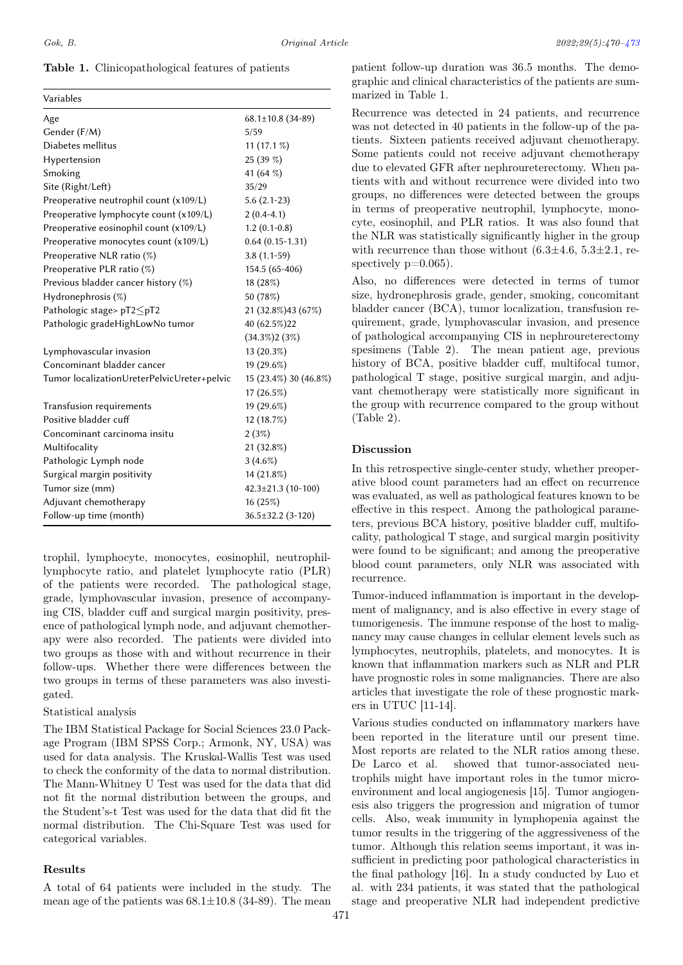### Table 1. Clinicopathological features of patients

| Variables                                   |                          |
|---------------------------------------------|--------------------------|
| Age                                         | $68.1 \pm 10.8$ (34-89)  |
| Gender (F/M)                                | 5/59                     |
| Diabetes mellitus                           | $11(17.1\%)$             |
| Hypertension                                | 25 (39 %)                |
| Smoking                                     | 41 (64 %)                |
| Site (Right/Left)                           | 35/29                    |
| Preoperative neutrophil count (x109/L)      | $5.6(2.1-23)$            |
| Preoperative lymphocyte count (x109/L)      | $2(0.4-4.1)$             |
| Preoperative eosinophil count (x109/L)      | $1.2(0.1-0.8)$           |
| Preoperative monocytes count (x109/L)       | $0.64(0.15-1.31)$        |
| Preoperative NLR ratio $(\%)$               | $3.8(1.1-59)$            |
| Preoperative PLR ratio $(\%)$               | 154.5 (65-406)           |
| Previous bladder cancer history (%)         | 18 (28%)                 |
| Hydronephrosis (%)                          | 50 (78%)                 |
| Pathologic stage> $pT2 \leq pT2$            | 21 (32.8%) 43 (67%)      |
| Pathologic gradeHighLowNo tumor             | 40 (62.5%) 22            |
|                                             | $(34.3\%)2(3\%)$         |
| Lymphovascular invasion                     | 13 (20.3%)               |
| Concominant bladder cancer                  | $19(29.6\%)$             |
| Tumor localizationUreterPelvicUreter+pelvic | 15 (23.4%) 30 (46.8%)    |
|                                             | $17(26.5\%)$             |
| Transfusion requirements                    | 19 (29.6%)               |
| Positive bladder cuff                       | 12 (18.7%)               |
| Concominant carcinoma insitu                | $2(3\%)$                 |
| Multifocality                               | 21 (32.8%)               |
| Pathologic Lymph node                       | $3(4.6\%)$               |
| Surgical margin positivity                  | 14 (21.8%)               |
| Tumor size (mm)                             | $42.3 \pm 21.3$ (10-100) |
| Adjuvant chemotherapy                       | 16(25%)                  |
| Follow-up time (month)                      | $36.5 \pm 32.2$ (3-120)  |

trophil, lymphocyte, monocytes, eosinophil, neutrophillymphocyte ratio, and platelet lymphocyte ratio (PLR) of the patients were recorded. The pathological stage, grade, lymphovascular invasion, presence of accompanying CIS, bladder cuff and surgical margin positivity, presence of pathological lymph node, and adjuvant chemotherapy were also recorded. The patients were divided into two groups as those with and without recurrence in their follow-ups. Whether there were differences between the two groups in terms of these parameters was also investigated.

#### Statistical analysis

The IBM Statistical Package for Social Sciences 23.0 Package Program (IBM SPSS Corp.; Armonk, NY, USA) was used for data analysis. The Kruskal-Wallis Test was used to check the conformity of the data to normal distribution. The Mann-Whitney U Test was used for the data that did not fit the normal distribution between the groups, and the Student's-t Test was used for the data that did fit the normal distribution. The Chi-Square Test was used for categorical variables.

#### Results

A total of 64 patients were included in the study. The mean age of the patients was  $68.1 \pm 10.8$  (34-89). The mean

Recurrence was detected in 24 patients, and recurrence was not detected in 40 patients in the follow-up of the patients. Sixteen patients received adjuvant chemotherapy. Some patients could not receive adjuvant chemotherapy due to elevated GFR after nephroureterectomy. When patients with and without recurrence were divided into two groups, no differences were detected between the groups in terms of preoperative neutrophil, lymphocyte, monocyte, eosinophil, and PLR ratios. It was also found that the NLR was statistically significantly higher in the group with recurrence than those without  $(6.3\pm4.6, 5.3\pm2.1, \text{re-}$ spectively  $p=0.065$ ).

Also, no differences were detected in terms of tumor size, hydronephrosis grade, gender, smoking, concomitant bladder cancer (BCA), tumor localization, transfusion requirement, grade, lymphovascular invasion, and presence of pathological accompanying CIS in nephroureterectomy spesimens (Table 2). The mean patient age, previous history of BCA, positive bladder cuff, multifocal tumor, pathological T stage, positive surgical margin, and adjuvant chemotherapy were statistically more significant in the group with recurrence compared to the group without (Table 2).

#### Discussion

In this retrospective single-center study, whether preoperative blood count parameters had an effect on recurrence was evaluated, as well as pathological features known to be effective in this respect. Among the pathological parameters, previous BCA history, positive bladder cuff, multifocality, pathological T stage, and surgical margin positivity were found to be significant; and among the preoperative blood count parameters, only NLR was associated with recurrence.

Tumor-induced inflammation is important in the development of malignancy, and is also effective in every stage of tumorigenesis. The immune response of the host to malignancy may cause changes in cellular element levels such as lymphocytes, neutrophils, platelets, and monocytes. It is known that inflammation markers such as NLR and PLR have prognostic roles in some malignancies. There are also articles that investigate the role of these prognostic markers in UTUC [11-14].

Various studies conducted on inflammatory markers have been reported in the literature until our present time. Most reports are related to the NLR ratios among these. De Larco et al. showed that tumor-associated neutrophils might have important roles in the tumor microenvironment and local angiogenesis [15]. Tumor angiogenesis also triggers the progression and migration of tumor cells. Also, weak immunity in lymphopenia against the tumor results in the triggering of the aggressiveness of the tumor. Although this relation seems important, it was insufficient in predicting poor pathological characteristics in the final pathology [16]. In a study conducted by Luo et al. with 234 patients, it was stated that the pathological stage and preoperative NLR had independent predictive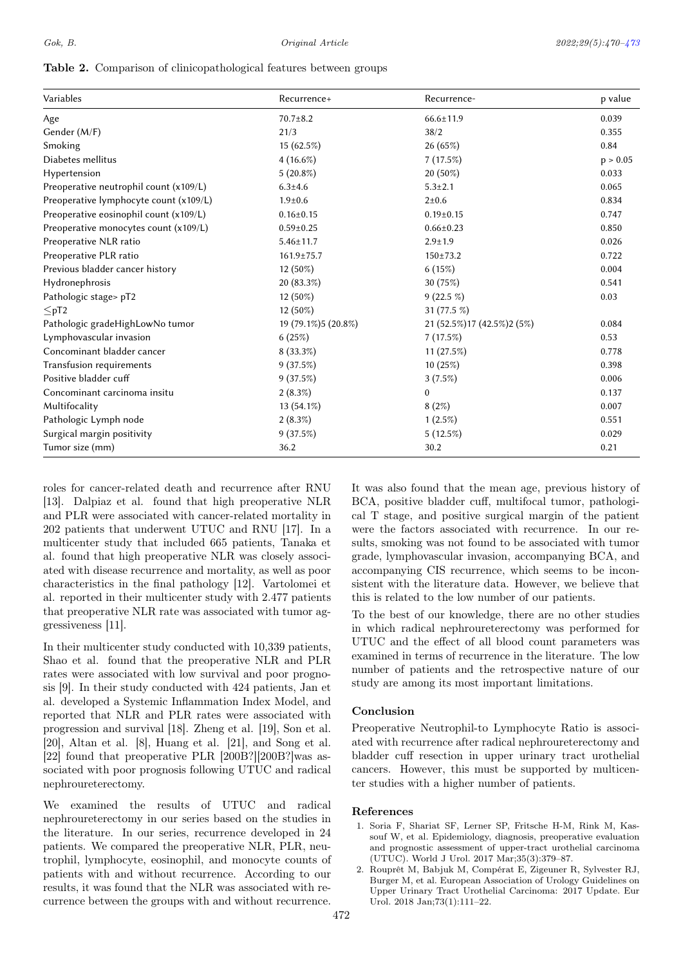#### Table 2. Comparison of clinicopathological features between groups

<span id="page-2-0"></span>

| Variables                              | Recurrence+         | Recurrence-                  | p value  |
|----------------------------------------|---------------------|------------------------------|----------|
| Age                                    | $70.7 \pm 8.2$      | $66.6 \pm 11.9$              | 0.039    |
| Gender (M/F)                           | 21/3                | 38/2                         | 0.355    |
| Smoking                                | $15(62.5\%)$        | 26(65%)                      | 0.84     |
| Diabetes mellitus                      | $4(16.6\%)$         | 7(17.5%)                     | p > 0.05 |
| Hypertension                           | $5(20.8\%)$         | $20(50\%)$                   | 0.033    |
| Preoperative neutrophil count (x109/L) | $6.3 + 4.6$         | $5.3 \pm 2.1$                | 0.065    |
| Preoperative lymphocyte count (x109/L) | $1.9 + 0.6$         | $2 + 0.6$                    | 0.834    |
| Preoperative eosinophil count (x109/L) | $0.16 \pm 0.15$     | $0.19 \pm 0.15$              | 0.747    |
| Preoperative monocytes count (x109/L)  | $0.59 \pm 0.25$     | $0.66 \pm 0.23$              | 0.850    |
| Preoperative NLR ratio                 | $5.46 \pm 11.7$     | $2.9 \pm 1.9$                | 0.026    |
| Preoperative PLR ratio                 | 161.9±75.7          | $150 \pm 73.2$               | 0.722    |
| Previous bladder cancer history        | 12 (50%)            | 6(15%)                       | 0.004    |
| Hydronephrosis                         | 20 (83.3%)          | 30 (75%)                     | 0.541    |
| Pathologic stage> pT2                  | $12(50\%)$          | $9(22.5\%)$                  | 0.03     |
| $\leq pT2$                             | $12(50\%)$          | 31 (77.5 %)                  |          |
| Pathologic gradeHighLowNo tumor        | 19 (79.1%)5 (20.8%) | 21 (52.5%) 17 (42.5%) 2 (5%) | 0.084    |
| Lymphovascular invasion                | 6(25%)              | 7(17.5%)                     | 0.53     |
| Concominant bladder cancer             | $8(33.3\%)$         | 11(27.5%)                    | 0.778    |
| Transfusion requirements               | 9(37.5%)            | 10(25%)                      | 0.398    |
| Positive bladder cuff                  | 9(37.5%)            | 3(7.5%)                      | 0.006    |
| Concominant carcinoma insitu           | $2(8.3\%)$          | 0                            | 0.137    |
| Multifocality                          | $13(54.1\%)$        | 8(2%)                        | 0.007    |
| Pathologic Lymph node                  | $2(8.3\%)$          | $1(2.5\%)$                   | 0.551    |
| Surgical margin positivity             | 9(37.5%)            | 5(12.5%)                     | 0.029    |
| Tumor size (mm)                        | 36.2                | 30.2                         | 0.21     |

roles for cancer-related death and recurrence after RNU [13]. Dalpiaz et al. found that high preoperative NLR and PLR were associated with cancer-related mortality in 202 patients that underwent UTUC and RNU [17]. In a multicenter study that included 665 patients, Tanaka et al. found that high preoperative NLR was closely associated with disease recurrence and mortality, as well as poor characteristics in the final pathology [12]. Vartolomei et al. reported in their multicenter study with 2.477 patients that preoperative NLR rate was associated with tumor aggressiveness [11].

In their multicenter study conducted with 10,339 patients, Shao et al. found that the preoperative NLR and PLR rates were associated with low survival and poor prognosis [9]. In their study conducted with 424 patients, Jan et al. developed a Systemic Inflammation Index Model, and reported that NLR and PLR rates were associated with progression and survival [18]. Zheng et al. [19], Son et al. [20], Altan et al. [8], Huang et al. [21], and Song et al. [22] found that preoperative PLR [200B?][200B?]was associated with poor prognosis following UTUC and radical nephroureterectomy.

We examined the results of UTUC and radical nephroureterectomy in our series based on the studies in the literature. In our series, recurrence developed in 24 patients. We compared the preoperative NLR, PLR, neutrophil, lymphocyte, eosinophil, and monocyte counts of patients with and without recurrence. According to our results, it was found that the NLR was associated with recurrence between the groups with and without recurrence.

It was also found that the mean age, previous history of BCA, positive bladder cuff, multifocal tumor, pathological T stage, and positive surgical margin of the patient were the factors associated with recurrence. In our results, smoking was not found to be associated with tumor grade, lymphovascular invasion, accompanying BCA, and accompanying CIS recurrence, which seems to be inconsistent with the literature data. However, we believe that this is related to the low number of our patients.

To the best of our knowledge, there are no other studies in which radical nephroureterectomy was performed for UTUC and the effect of all blood count parameters was examined in terms of recurrence in the literature. The low number of patients and the retrospective nature of our study are among its most important limitations.

#### Conclusion

Preoperative Neutrophil-to Lymphocyte Ratio is associated with recurrence after radical nephroureterectomy and bladder cuff resection in upper urinary tract urothelial cancers. However, this must be supported by multicenter studies with a higher number of patients.

#### References

- 1. Soria F, Shariat SF, Lerner SP, Fritsche H-M, Rink M, Kassouf W, et al. Epidemiology, diagnosis, preoperative evaluation and prognostic assessment of upper-tract urothelial carcinoma (UTUC). World J Urol. 2017 Mar;35(3):379–87.
- 2. Rouprêt M, Babjuk M, Compérat E, Zigeuner R, Sylvester RJ, Burger M, et al. European Association of Urology Guidelines on Upper Urinary Tract Urothelial Carcinoma: 2017 Update. Eur Urol. 2018 Jan;73(1):111–22.